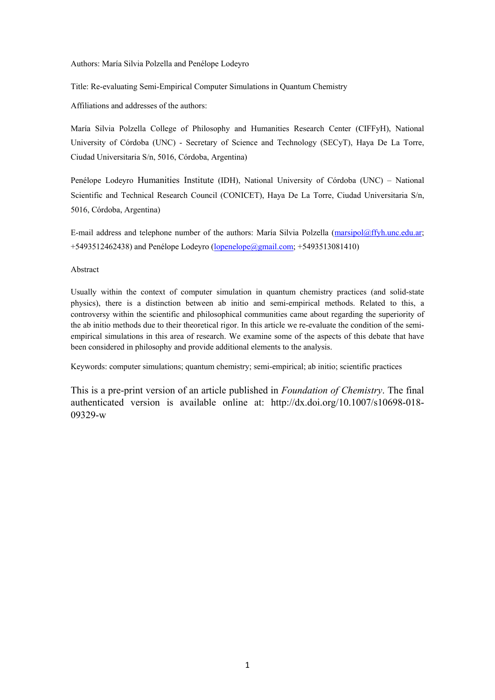Authors: María Silvia Polzella and Penélope Lodeyro

Title: Re-evaluating Semi-Empirical Computer Simulations in Quantum Chemistry

Affiliations and addresses of the authors:

María Silvia Polzella College of Philosophy and Humanities Research Center (CIFFyH), National University of Córdoba (UNC) - Secretary of Science and Technology (SECyT), Haya De La Torre, Ciudad Universitaria S/n, 5016, Córdoba, Argentina)

Penélope Lodeyro Humanities Institute (IDH), National University of Córdoba (UNC) – National Scientific and Technical Research Council (CONICET), Haya De La Torre, Ciudad Universitaria S/n, 5016, Córdoba, Argentina)

E-mail address and telephone number of the authors: María Silvia Polzella [\(marsipol@ffyh.unc.edu.ar;](mailto:marsipol@ffyh.unc.edu.ar) +5493512462438) and Penélope Lodeyro [\(lopenelope@gmail.com;](mailto:lopenelope@gmail.com) +5493513081410)

Abstract

Usually within the context of computer simulation in quantum chemistry practices (and solid-state physics), there is a distinction between ab initio and semi-empirical methods. Related to this, a controversy within the scientific and philosophical communities came about regarding the superiority of the ab initio methods due to their theoretical rigor. In this article we re-evaluate the condition of the semiempirical simulations in this area of research. We examine some of the aspects of this debate that have been considered in philosophy and provide additional elements to the analysis.

Keywords: computer simulations; quantum chemistry; semi-empirical; ab initio; scientific practices

This is a pre-print version of an article published in *Foundation of Chemistry*. The final authenticated version is available online at: http://dx.doi.org/10.1007/s10698-018- 09329-w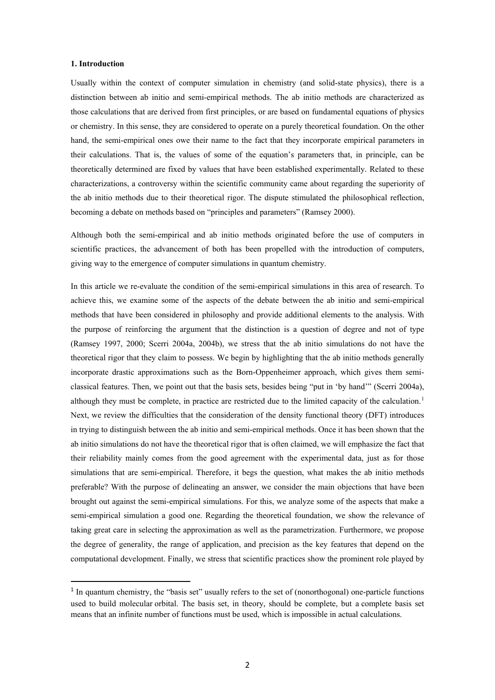### **1. Introduction**

Usually within the context of computer simulation in chemistry (and solid-state physics), there is a distinction between ab initio and semi-empirical methods. The ab initio methods are characterized as those calculations that are derived from first principles, or are based on fundamental equations of physics or chemistry. In this sense, they are considered to operate on a purely theoretical foundation. On the other hand, the semi-empirical ones owe their name to the fact that they incorporate empirical parameters in their calculations. That is, the values of some of the equation's parameters that, in principle, can be theoretically determined are fixed by values that have been established experimentally. Related to these characterizations, a controversy within the scientific community came about regarding the superiority of the ab initio methods due to their theoretical rigor. The dispute stimulated the philosophical reflection, becoming a debate on methods based on "principles and parameters" (Ramsey 2000).

Although both the semi-empirical and ab initio methods originated before the use of computers in scientific practices, the advancement of both has been propelled with the introduction of computers, giving way to the emergence of computer simulations in quantum chemistry.

In this article we re-evaluate the condition of the semi-empirical simulations in this area of research. To achieve this, we examine some of the aspects of the debate between the ab initio and semi-empirical methods that have been considered in philosophy and provide additional elements to the analysis. With the purpose of reinforcing the argument that the distinction is a question of degree and not of type (Ramsey 1997, 2000; Scerri 2004a, 2004b), we stress that the ab initio simulations do not have the theoretical rigor that they claim to possess. We begin by highlighting that the ab initio methods generally incorporate drastic approximations such as the Born-Oppenheimer approach, which gives them semiclassical features. Then, we point out that the basis sets, besides being "put in 'by hand'" (Scerri 2004a), although they must be complete, in practice are restricted due to the limited capacity of the calculation.<sup>[1](#page-1-0)</sup> Next, we review the difficulties that the consideration of the density functional theory (DFT) introduces in trying to distinguish between the ab initio and semi-empirical methods. Once it has been shown that the ab initio simulations do not have the theoretical rigor that is often claimed, we will emphasize the fact that their reliability mainly comes from the good agreement with the experimental data, just as for those simulations that are semi-empirical. Therefore, it begs the question, what makes the ab initio methods preferable? With the purpose of delineating an answer, we consider the main objections that have been brought out against the semi-empirical simulations. For this, we analyze some of the aspects that make a semi-empirical simulation a good one. Regarding the theoretical foundation, we show the relevance of taking great care in selecting the approximation as well as the parametrization. Furthermore, we propose the degree of generality, the range of application, and precision as the key features that depend on the computational development. Finally, we stress that scientific practices show the prominent role played by

<span id="page-1-0"></span> $<sup>1</sup>$  In quantum chemistry, the "basis set" usually refers to the set of (nonorthogonal) one-particle functions</sup> used to build molecular orbital. The basis set, in theory, should be complete, but a complete basis set means that an infinite number of functions must be used, which is impossible in actual calculations.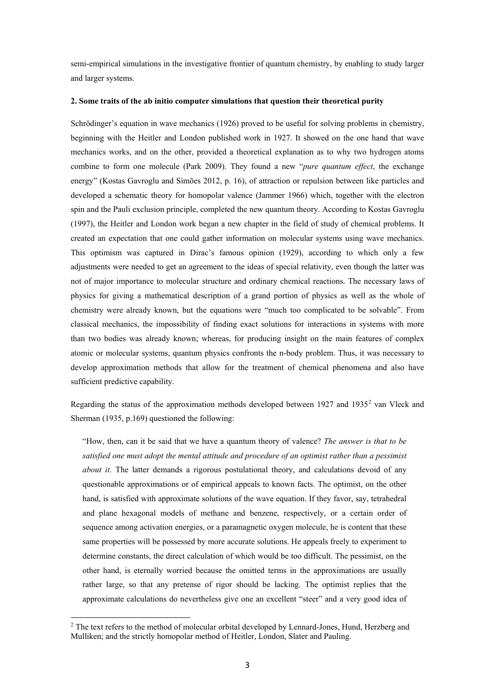semi-empirical simulations in the investigative frontier of quantum chemistry, by enabling to study larger and larger systems.

## **2. Some traits of the ab initio computer simulations that question their theoretical purity**

Schrödinger's equation in wave mechanics (1926) proved to be useful for solving problems in chemistry, beginning with the Heitler and London published work in 1927. It showed on the one hand that wave mechanics works, and on the other, provided a theoretical explanation as to why two hydrogen atoms combine to form one molecule (Park 2009). They found a new "*pure quantum effect*, the exchange energy" (Kostas Gavroglu and Simões 2012, p. 16), of attraction or repulsion between like particles and developed a schematic theory for homopolar valence (Jammer 1966) which, together with the electron spin and the Pauli exclusion principle, completed the new quantum theory. According to Kostas Gavroglu (1997), the Heitler and London work began a new chapter in the field of study of chemical problems. It created an expectation that one could gather information on molecular systems using wave mechanics. This optimism was captured in Dirac's famous opinion (1929), according to which only a few adjustments were needed to get an agreement to the ideas of special relativity, even though the latter was not of major importance to molecular structure and ordinary chemical reactions. The necessary laws of physics for giving a mathematical description of a grand portion of physics as well as the whole of chemistry were already known, but the equations were "much too complicated to be solvable". From classical mechanics, the impossibility of finding exact solutions for interactions in systems with more than two bodies was already known; whereas, for producing insight on the main features of complex atomic or molecular systems, quantum physics confronts the n-body problem. Thus, it was necessary to develop approximation methods that allow for the treatment of chemical phenomena and also have sufficient predictive capability.

Regarding the status of the approximation methods developed between 19[2](#page-2-0)7 and 1935<sup>2</sup> van Vleck and Sherman (1935, p.169) questioned the following:

"How, then, can it be said that we have a quantum theory of valence? *The answer is that to be satisfied one must adopt the mental attitude and procedure of an optimist rather than a pessimist about it.* The latter demands a rigorous postulational theory, and calculations devoid of any questionable approximations or of empirical appeals to known facts. The optimist, on the other hand, is satisfied with approximate solutions of the wave equation. If they favor, say, tetrahedral and plane hexagonal models of methane and benzene, respectively, or a certain order of sequence among activation energies, or a paramagnetic oxygen molecule, he is content that these same properties will be possessed by more accurate solutions. He appeals freely to experiment to determine constants, the direct calculation of which would be too difficult. The pessimist, on the other hand, is eternally worried because the omitted terms in the approximations are usually rather large, so that any pretense of rigor should be lacking. The optimist replies that the approximate calculations do nevertheless give one an excellent "steer" and a very good idea of

**.** 

<span id="page-2-0"></span><sup>&</sup>lt;sup>2</sup> The text refers to the method of molecular orbital developed by Lennard-Jones, Hund, Herzberg and Mulliken; and the strictly homopolar method of Heitler, London, Slater and Pauling.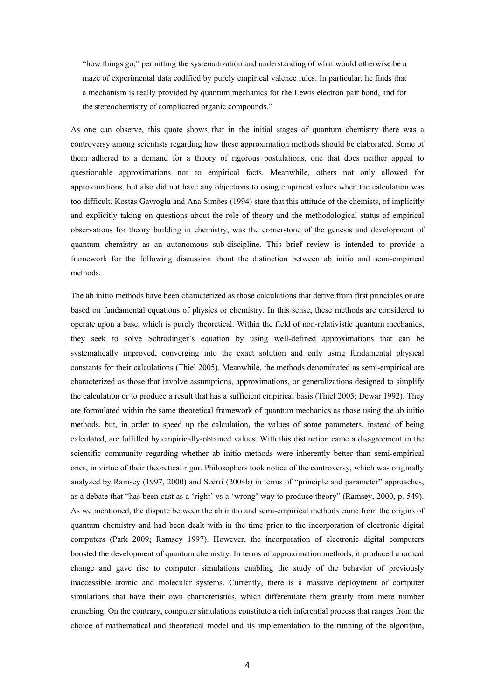"how things go," permitting the systematization and understanding of what would otherwise be a maze of experimental data codified by purely empirical valence rules. In particular, he finds that a mechanism is really provided by quantum mechanics for the Lewis electron pair bond, and for the stereochemistry of complicated organic compounds."

As one can observe, this quote shows that in the initial stages of quantum chemistry there was a controversy among scientists regarding how these approximation methods should be elaborated. Some of them adhered to a demand for a theory of rigorous postulations, one that does neither appeal to questionable approximations nor to empirical facts. Meanwhile, others not only allowed for approximations, but also did not have any objections to using empirical values when the calculation was too difficult. Kostas Gavroglu and Ana Simões (1994) state that this attitude of the chemists, of implicitly and explicitly taking on questions about the role of theory and the methodological status of empirical observations for theory building in chemistry, was the cornerstone of the genesis and development of quantum chemistry as an autonomous sub-discipline. This brief review is intended to provide a framework for the following discussion about the distinction between ab initio and semi-empirical methods.

The ab initio methods have been characterized as those calculations that derive from first principles or are based on fundamental equations of physics or chemistry. In this sense, these methods are considered to operate upon a base, which is purely theoretical. Within the field of non-relativistic quantum mechanics, they seek to solve Schrödinger's equation by using well-defined approximations that can be systematically improved, converging into the exact solution and only using fundamental physical constants for their calculations (Thiel 2005). Meanwhile, the methods denominated as semi-empirical are characterized as those that involve assumptions, approximations, or generalizations designed to simplify the calculation or to produce a result that has a sufficient empirical basis (Thiel 2005; Dewar 1992). They are formulated within the same theoretical framework of quantum mechanics as those using the ab initio methods, but, in order to speed up the calculation, the values of some parameters, instead of being calculated, are fulfilled by empirically-obtained values. With this distinction came a disagreement in the scientific community regarding whether ab initio methods were inherently better than semi-empirical ones, in virtue of their theoretical rigor. Philosophers took notice of the controversy, which was originally analyzed by Ramsey (1997, 2000) and Scerri (2004b) in terms of "principle and parameter" approaches, as a debate that "has been cast as a 'right' vs a 'wrong' way to produce theory" (Ramsey, 2000, p. 549). As we mentioned, the dispute between the ab initio and semi-empirical methods came from the origins of quantum chemistry and had been dealt with in the time prior to the incorporation of electronic digital computers (Park 2009; Ramsey 1997). However, the incorporation of electronic digital computers boosted the development of quantum chemistry. In terms of approximation methods, it produced a radical change and gave rise to computer simulations enabling the study of the behavior of previously inaccessible atomic and molecular systems. Currently, there is a massive deployment of computer simulations that have their own characteristics, which differentiate them greatly from mere number crunching. On the contrary, computer simulations constitute a rich inferential process that ranges from the choice of mathematical and theoretical model and its implementation to the running of the algorithm,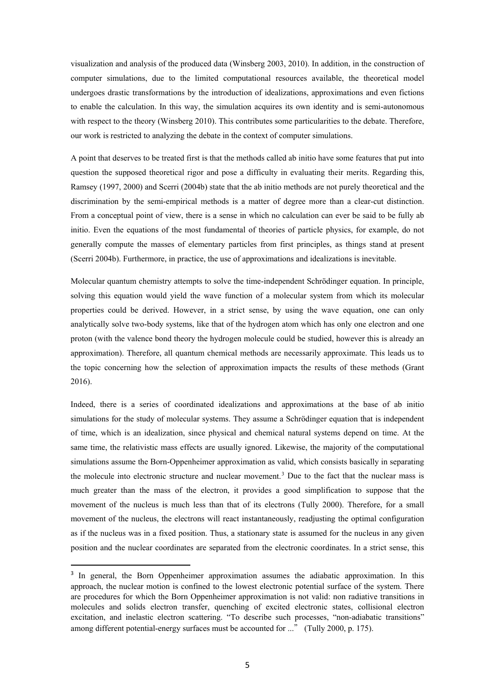visualization and analysis of the produced data (Winsberg 2003, 2010). In addition, in the construction of computer simulations, due to the limited computational resources available, the theoretical model undergoes drastic transformations by the introduction of idealizations, approximations and even fictions to enable the calculation. In this way, the simulation acquires its own identity and is semi-autonomous with respect to the theory (Winsberg 2010). This contributes some particularities to the debate. Therefore, our work is restricted to analyzing the debate in the context of computer simulations.

A point that deserves to be treated first is that the methods called ab initio have some features that put into question the supposed theoretical rigor and pose a difficulty in evaluating their merits. Regarding this, Ramsey (1997, 2000) and Scerri (2004b) state that the ab initio methods are not purely theoretical and the discrimination by the semi-empirical methods is a matter of degree more than a clear-cut distinction. From a conceptual point of view, there is a sense in which no calculation can ever be said to be fully ab initio. Even the equations of the most fundamental of theories of particle physics, for example, do not generally compute the masses of elementary particles from first principles, as things stand at present (Scerri 2004b). Furthermore, in practice, the use of approximations and idealizations is inevitable.

Molecular quantum chemistry attempts to solve the time-independent Schrödinger equation. In principle, solving this equation would yield the wave function of a molecular system from which its molecular properties could be derived. However, in a strict sense, by using the wave equation, one can only analytically solve two-body systems, like that of the hydrogen atom which has only one electron and one proton (with the valence bond theory the hydrogen molecule could be studied, however this is already an approximation). Therefore, all quantum chemical methods are necessarily approximate. This leads us to the topic concerning how the selection of approximation impacts the results of these methods (Grant 2016).

Indeed, there is a series of coordinated idealizations and approximations at the base of ab initio simulations for the study of molecular systems. They assume a Schrödinger equation that is independent of time, which is an idealization, since physical and chemical natural systems depend on time. At the same time, the relativistic mass effects are usually ignored. Likewise, the majority of the computational simulations assume the Born-Oppenheimer approximation as valid, which consists basically in separating the molecule into electronic structure and nuclear movement.<sup>[3](#page-4-0)</sup> Due to the fact that the nuclear mass is much greater than the mass of the electron, it provides a good simplification to suppose that the movement of the nucleus is much less than that of its electrons (Tully 2000). Therefore, for a small movement of the nucleus, the electrons will react instantaneously, readjusting the optimal configuration as if the nucleus was in a fixed position. Thus, a stationary state is assumed for the nucleus in any given position and the nuclear coordinates are separated from the electronic coordinates. In a strict sense, this

<span id="page-4-0"></span><sup>&</sup>lt;sup>3</sup> In general, the Born Oppenheimer approximation assumes the adiabatic approximation. In this approach, the nuclear motion is confined to the lowest electronic potential surface of the system. There are procedures for which the Born Oppenheimer approximation is not valid: non radiative transitions in molecules and solids electron transfer, quenching of excited electronic states, collisional electron excitation, and inelastic electron scattering. "To describe such processes, "non-adiabatic transitions" among different potential-energy surfaces must be accounted for ..." (Tully 2000, p. 175).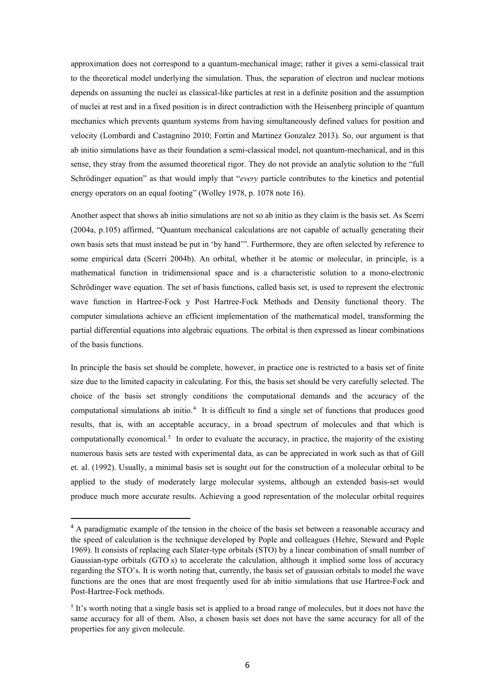approximation does not correspond to a quantum-mechanical image; rather it gives a semi-classical trait to the theoretical model underlying the simulation. Thus, the separation of electron and nuclear motions depends on assuming the nuclei as classical-like particles at rest in a definite position and the assumption of nuclei at rest and in a fixed position is in direct contradiction with the Heisenberg principle of quantum mechanics which prevents quantum systems from having simultaneously defined values for position and velocity (Lombardi and Castagnino 2010; Fortin and Martinez Gonzalez 2013). So, our argument is that ab initio simulations have as their foundation a semi-classical model, not quantum-mechanical, and in this sense, they stray from the assumed theoretical rigor. They do not provide an analytic solution to the "full Schrödinger equation" as that would imply that "*every* particle contributes to the kinetics and potential energy operators on an equal footing" (Wolley 1978, p. 1078 note 16).

Another aspect that shows ab initio simulations are not so ab initio as they claim is the basis set. As Scerri (2004a, p.105) affirmed, "Quantum mechanical calculations are not capable of actually generating their own basis sets that must instead be put in 'by hand'". Furthermore, they are often selected by reference to some empirical data (Scerri 2004b). An orbital, whether it be atomic or molecular, in principle, is a mathematical function in tridimensional space and is a characteristic solution to a mono-electronic Schrödinger wave equation. The set of basis functions, called basis set, is used to represent the electronic wave function in Hartree-Fock y Post Hartree-Fock Methods and Density functional theory. The computer simulations achieve an efficient implementation of the mathematical model, transforming the partial differential equations into algebraic equations. The orbital is then expressed as linear combinations of the basis functions.

In principle the basis set should be complete, however, in practice one is restricted to a basis set of finite size due to the limited capacity in calculating. For this, the basis set should be very carefully selected. The choice of the basis set strongly conditions the computational demands and the accuracy of the computational simulations ab initio.<sup>[4](#page-5-0)</sup> It is difficult to find a single set of functions that produces good results, that is, with an acceptable accuracy, in a broad spectrum of molecules and that which is computationally economical.<sup>[5](#page-5-1)</sup> In order to evaluate the accuracy, in practice, the majority of the existing numerous basis sets are tested with experimental data, as can be appreciated in work such as that of Gill et. al. (1992). Usually, a minimal basis set is sought out for the construction of a molecular orbital to be applied to the study of moderately large molecular systems, although an extended basis-set would produce much more accurate results. Achieving a good representation of the molecular orbital requires

<span id="page-5-0"></span><sup>&</sup>lt;sup>4</sup> A paradigmatic example of the tension in the choice of the basis set between a reasonable accuracy and the speed of calculation is the technique developed by Pople and colleagues (Hehre, Steward and Pople 1969). It consists of replacing each Slater-type orbitals (STO) by a linear combination of small number of Gaussian-type orbitals  $(GTO's)$  to accelerate the calculation, although it implied some loss of accuracy regarding the STO's. It is worth noting that, currently, the basis set of gaussian orbitals to model the wave functions are the ones that are most frequently used for ab initio simulations that use Hartree-Fock and Post-Hartree-Fock methods.

<span id="page-5-1"></span><sup>5</sup> It's worth noting that a single basis set is applied to a broad range of molecules, but it does not have the same accuracy for all of them. Also, a chosen basis set does not have the same accuracy for all of the properties for any given molecule.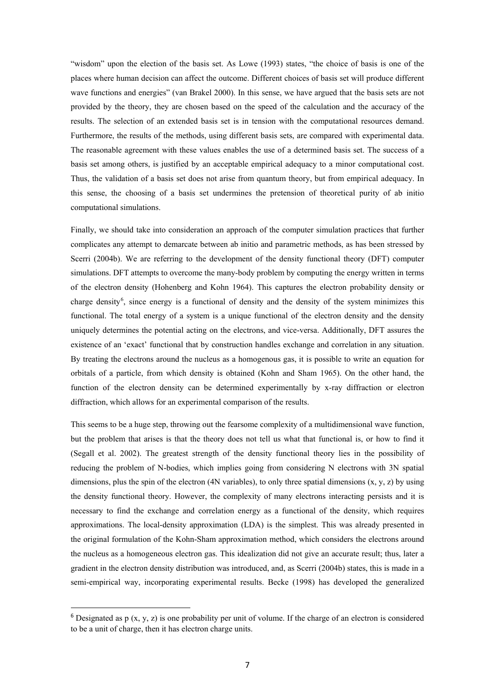"wisdom" upon the election of the basis set. As Lowe (1993) states, "the choice of basis is one of the places where human decision can affect the outcome. Different choices of basis set will produce different wave functions and energies" (van Brakel 2000). In this sense, we have argued that the basis sets are not provided by the theory, they are chosen based on the speed of the calculation and the accuracy of the results. The selection of an extended basis set is in tension with the computational resources demand. Furthermore, the results of the methods, using different basis sets, are compared with experimental data. The reasonable agreement with these values enables the use of a determined basis set. The success of a basis set among others, is justified by an acceptable empirical adequacy to a minor computational cost. Thus, the validation of a basis set does not arise from quantum theory, but from empirical adequacy. In this sense, the choosing of a basis set undermines the pretension of theoretical purity of ab initio computational simulations.

Finally, we should take into consideration an approach of the computer simulation practices that further complicates any attempt to demarcate between ab initio and parametric methods, as has been stressed by Scerri (2004b). We are referring to the development of the density functional theory (DFT) computer simulations. DFT attempts to overcome the many-body problem by computing the energy written in terms of the electron density (Hohenberg and Kohn 1964). This captures the electron probability density or charge density<sup>[6](#page-6-0)</sup>, since energy is a functional of density and the density of the system minimizes this functional. The total energy of a system is a unique functional of the electron density and the density uniquely determines the potential acting on the electrons, and vice-versa. Additionally, DFT assures the existence of an 'exact' functional that by construction handles exchange and correlation in any situation. By treating the electrons around the nucleus as a homogenous gas, it is possible to write an equation for orbitals of a particle, from which density is obtained (Kohn and Sham 1965). On the other hand, the function of the electron density can be determined experimentally by x-ray diffraction or electron diffraction, which allows for an experimental comparison of the results.

This seems to be a huge step, throwing out the fearsome complexity of a multidimensional wave function, but the problem that arises is that the theory does not tell us what that functional is, or how to find it (Segall et al. 2002). The greatest strength of the density functional theory lies in the possibility of reducing the problem of N-bodies, which implies going from considering N electrons with 3N spatial dimensions, plus the spin of the electron (4N variables), to only three spatial dimensions  $(x, y, z)$  by using the density functional theory. However, the complexity of many electrons interacting persists and it is necessary to find the exchange and correlation energy as a functional of the density, which requires approximations. The local-density approximation (LDA) is the simplest. This was already presented in the original formulation of the Kohn-Sham approximation method, which considers the electrons around the nucleus as a homogeneous electron gas. This idealization did not give an accurate result; thus, later a gradient in the electron density distribution was introduced, and, as Scerri (2004b) states, this is made in a semi-empirical way, incorporating experimental results. Becke (1998) has developed the generalized

<span id="page-6-0"></span><sup>&</sup>lt;sup>6</sup> Designated as p  $(x, y, z)$  is one probability per unit of volume. If the charge of an electron is considered to be a unit of charge, then it has electron charge units.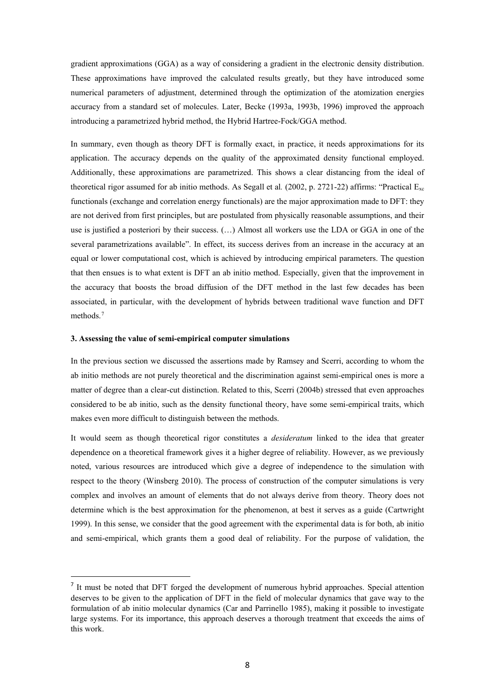gradient approximations (GGA) as a way of considering a gradient in the electronic density distribution. These approximations have improved the calculated results greatly, but they have introduced some numerical parameters of adjustment, determined through the optimization of the atomization energies accuracy from a standard set of molecules. Later, Becke (1993a, 1993b, 1996) improved the approach introducing a parametrized hybrid method, the Hybrid Hartree-Fock/GGA method.

In summary, even though as theory DFT is formally exact, in practice, it needs approximations for its application. The accuracy depends on the quality of the approximated density functional employed. Additionally, these approximations are parametrized. This shows a clear distancing from the ideal of theoretical rigor assumed for ab initio methods. As Segall et al*.* (2002, p. 2721-22) affirms: "Practical Exc functionals (exchange and correlation energy functionals) are the major approximation made to DFT: they are not derived from first principles, but are postulated from physically reasonable assumptions, and their use is justified a posteriori by their success. (…) Almost all workers use the LDA or GGA in one of the several parametrizations available". In effect, its success derives from an increase in the accuracy at an equal or lower computational cost, which is achieved by introducing empirical parameters. The question that then ensues is to what extent is DFT an ab initio method. Especially, given that the improvement in the accuracy that boosts the broad diffusion of the DFT method in the last few decades has been associated, in particular, with the development of hybrids between traditional wave function and DFT methods<sup>[7](#page-7-0)</sup>

## **3. Assessing the value of semi-empirical computer simulations**

In the previous section we discussed the assertions made by Ramsey and Scerri, according to whom the ab initio methods are not purely theoretical and the discrimination against semi-empirical ones is more a matter of degree than a clear-cut distinction. Related to this, Scerri (2004b) stressed that even approaches considered to be ab initio, such as the density functional theory, have some semi-empirical traits, which makes even more difficult to distinguish between the methods.

It would seem as though theoretical rigor constitutes a *desideratum* linked to the idea that greater dependence on a theoretical framework gives it a higher degree of reliability. However, as we previously noted, various resources are introduced which give a degree of independence to the simulation with respect to the theory (Winsberg 2010). The process of construction of the computer simulations is very complex and involves an amount of elements that do not always derive from theory. Theory does not determine which is the best approximation for the phenomenon, at best it serves as a guide (Cartwright 1999). In this sense, we consider that the good agreement with the experimental data is for both, ab initio and semi-empirical, which grants them a good deal of reliability. For the purpose of validation, the

<span id="page-7-0"></span><sup>&</sup>lt;sup>7</sup> It must be noted that DFT forged the development of numerous hybrid approaches. Special attention deserves to be given to the application of DFT in the field of molecular dynamics that gave way to the formulation of ab initio molecular dynamics (Car and Parrinello 1985), making it possible to investigate large systems. For its importance, this approach deserves a thorough treatment that exceeds the aims of this work.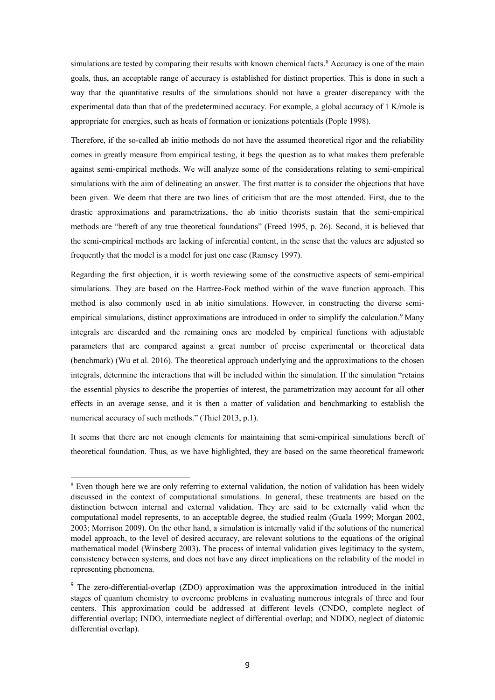simulations are tested by comparing their results with known chemical facts.<sup>[8](#page-8-0)</sup> Accuracy is one of the main goals, thus, an acceptable range of accuracy is established for distinct properties. This is done in such a way that the quantitative results of the simulations should not have a greater discrepancy with the experimental data than that of the predetermined accuracy. For example, a global accuracy of 1 K/mole is appropriate for energies, such as heats of formation or ionizations potentials (Pople 1998).

Therefore, if the so-called ab initio methods do not have the assumed theoretical rigor and the reliability comes in greatly measure from empirical testing, it begs the question as to what makes them preferable against semi-empirical methods. We will analyze some of the considerations relating to semi-empirical simulations with the aim of delineating an answer. The first matter is to consider the objections that have been given. We deem that there are two lines of criticism that are the most attended. First, due to the drastic approximations and parametrizations, the ab initio theorists sustain that the semi-empirical methods are "bereft of any true theoretical foundations" (Freed 1995, p. 26). Second, it is believed that the semi-empirical methods are lacking of inferential content, in the sense that the values are adjusted so frequently that the model is a model for just one case (Ramsey 1997).

Regarding the first objection, it is worth reviewing some of the constructive aspects of semi-empirical simulations. They are based on the Hartree-Fock method within of the wave function approach. This method is also commonly used in ab initio simulations. However, in constructing the diverse semi-empirical simulations, distinct approximations are introduced in order to simplify the calculation.<sup>[9](#page-8-1)</sup> Many integrals are discarded and the remaining ones are modeled by empirical functions with adjustable parameters that are compared against a great number of precise experimental or theoretical data (benchmark) (Wu et al. 2016). The theoretical approach underlying and the approximations to the chosen integrals, determine the interactions that will be included within the simulation. If the simulation "retains the essential physics to describe the properties of interest, the parametrization may account for all other effects in an average sense, and it is then a matter of validation and benchmarking to establish the numerical accuracy of such methods." (Thiel 2013, p.1).

It seems that there are not enough elements for maintaining that semi-empirical simulations bereft of theoretical foundation. Thus, as we have highlighted, they are based on the same theoretical framework

**.** 

<span id="page-8-0"></span><sup>&</sup>lt;sup>8</sup> Even though here we are only referring to external validation, the notion of validation has been widely discussed in the context of computational simulations. In general, these treatments are based on the distinction between internal and external validation. They are said to be externally valid when the computational model represents, to an acceptable degree, the studied realm (Guala 1999; Morgan 2002, 2003; Morrison 2009). On the other hand, a simulation is internally valid if the solutions of the numerical model approach, to the level of desired accuracy, are relevant solutions to the equations of the original mathematical model (Winsberg 2003). The process of internal validation gives legitimacy to the system, consistency between systems, and does not have any direct implications on the reliability of the model in representing phenomena.

<span id="page-8-1"></span><sup>&</sup>lt;sup>9</sup> The zero-differential-overlap (ZDO) approximation was the approximation introduced in the initial stages of quantum chemistry to overcome problems in evaluating numerous integrals of three and four centers. This approximation could be addressed at different levels (CNDO, complete neglect of differential overlap; INDO, intermediate neglect of differential overlap; and NDDO, neglect of diatomic differential overlap).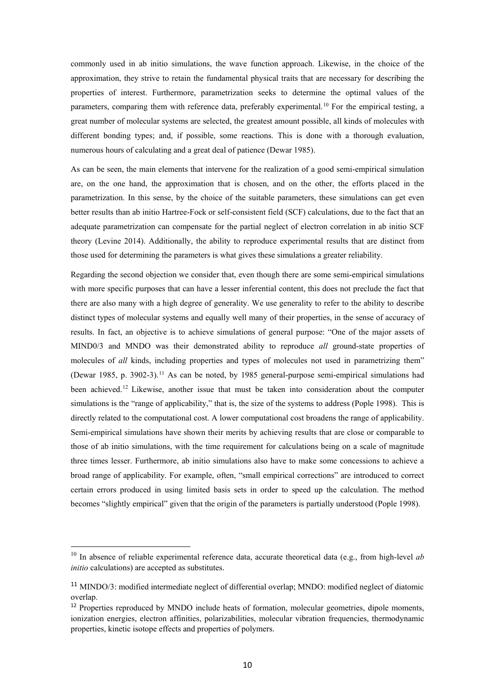commonly used in ab initio simulations, the wave function approach. Likewise, in the choice of the approximation, they strive to retain the fundamental physical traits that are necessary for describing the properties of interest. Furthermore, parametrization seeks to determine the optimal values of the parameters, comparing them with reference data, preferably experimental.[10](#page-9-0) For the empirical testing, a great number of molecular systems are selected, the greatest amount possible, all kinds of molecules with different bonding types; and, if possible, some reactions. This is done with a thorough evaluation, numerous hours of calculating and a great deal of patience (Dewar 1985).

As can be seen, the main elements that intervene for the realization of a good semi-empirical simulation are, on the one hand, the approximation that is chosen, and on the other, the efforts placed in the parametrization. In this sense, by the choice of the suitable parameters, these simulations can get even better results than ab initio Hartree-Fock or self-consistent field (SCF) calculations, due to the fact that an adequate parametrization can compensate for the partial neglect of electron correlation in ab initio SCF theory (Levine 2014). Additionally, the ability to reproduce experimental results that are distinct from those used for determining the parameters is what gives these simulations a greater reliability.

Regarding the second objection we consider that, even though there are some semi-empirical simulations with more specific purposes that can have a lesser inferential content, this does not preclude the fact that there are also many with a high degree of generality. We use generality to refer to the ability to describe distinct types of molecular systems and equally well many of their properties, in the sense of accuracy of results. In fact, an objective is to achieve simulations of general purpose: "One of the major assets of MIND0/3 and MNDO was their demonstrated ability to reproduce *all* ground-state properties of molecules of *all* kinds, including properties and types of molecules not used in parametrizing them" (Dewar 1985, p. 3902-3).[11](#page-9-1) As can be noted, by 1985 general-purpose semi-empirical simulations had been achieved.<sup>[12](#page-9-2)</sup> Likewise, another issue that must be taken into consideration about the computer simulations is the "range of applicability," that is, the size of the systems to address (Pople 1998). This is directly related to the computational cost. A lower computational cost broadens the range of applicability. Semi-empirical simulations have shown their merits by achieving results that are close or comparable to those of ab initio simulations, with the time requirement for calculations being on a scale of magnitude three times lesser. Furthermore, ab initio simulations also have to make some concessions to achieve a broad range of applicability. For example, often, "small empirical corrections" are introduced to correct certain errors produced in using limited basis sets in order to speed up the calculation. The method becomes "slightly empirical" given that the origin of the parameters is partially understood (Pople 1998).

**.** 

<span id="page-9-0"></span><sup>10</sup> In absence of reliable experimental reference data, accurate theoretical data (e.g., from high-level *ab initio* calculations) are accepted as substitutes.

<span id="page-9-1"></span><sup>11</sup> MINDO/3: modified intermediate neglect of differential overlap; MNDO: modified neglect of diatomic overlap.

<span id="page-9-2"></span> $12$  Properties reproduced by MNDO include heats of formation, molecular geometries, dipole moments, ionization energies, electron affinities, polarizabilities, molecular vibration frequencies, thermodynamic properties, kinetic isotope effects and properties of polymers.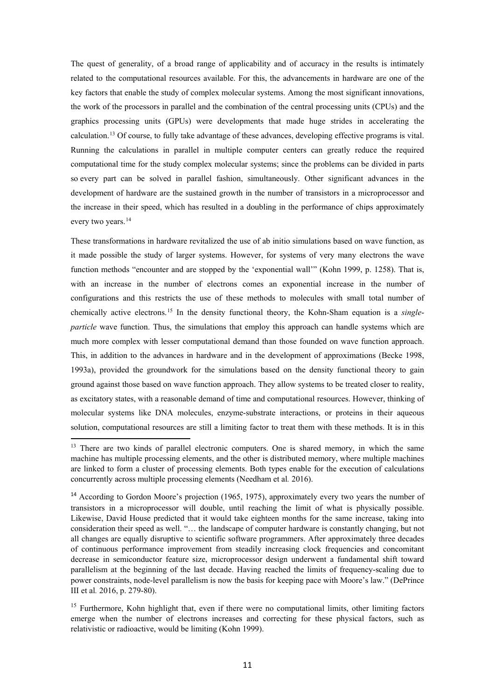The quest of generality, of a broad range of applicability and of accuracy in the results is intimately related to the computational resources available. For this, the advancements in hardware are one of the key factors that enable the study of complex molecular systems. Among the most significant innovations, the work of the processors in parallel and the combination of the central processing units (CPUs) and the graphics processing units (GPUs) were developments that made huge strides in accelerating the calculation.[13](#page-10-0) Of course, to fully take advantage of these advances, developing effective programs is vital. Running the calculations in parallel in multiple computer centers can greatly reduce the required computational time for the study complex molecular systems; since the problems can be divided in parts so every part can be solved in parallel fashion, simultaneously. Other significant advances in the development of hardware are the sustained growth in the number of transistors in a microprocessor and the increase in their speed, which has resulted in a doubling in the performance of chips approximately every two years.<sup>[14](#page-10-1)</sup>

These transformations in hardware revitalized the use of ab initio simulations based on wave function, as it made possible the study of larger systems. However, for systems of very many electrons the wave function methods "encounter and are stopped by the 'exponential wall'" (Kohn 1999, p. 1258). That is, with an increase in the number of electrons comes an exponential increase in the number of configurations and this restricts the use of these methods to molecules with small total number of chemically active electrons.[15](#page-10-2) In the density functional theory, the Kohn-Sham equation is a *singleparticle* wave function. Thus, the simulations that employ this approach can handle systems which are much more complex with lesser computational demand than those founded on wave function approach. This, in addition to the advances in hardware and in the development of approximations (Becke 1998, 1993a), provided the groundwork for the simulations based on the density functional theory to gain ground against those based on wave function approach. They allow systems to be treated closer to reality, as excitatory states, with a reasonable demand of time and computational resources. However, thinking of molecular systems like DNA molecules, enzyme-substrate interactions, or proteins in their aqueous solution, computational resources are still a limiting factor to treat them with these methods. It is in this

 $\overline{\phantom{a}}$ 

<span id="page-10-0"></span><sup>&</sup>lt;sup>13</sup> There are two kinds of parallel electronic computers. One is shared memory, in which the same machine has multiple processing elements, and the other is distributed memory, where multiple machines are linked to form a cluster of processing elements. Both types enable for the execution of calculations concurrently across multiple processing elements (Needham et al*.* 2016).

<span id="page-10-1"></span><sup>&</sup>lt;sup>14</sup> According to Gordon Moore's projection (1965, 1975), approximately every two years the number of transistors in a microprocessor will double, until reaching the limit of what is physically possible. Likewise, David House predicted that it would take eighteen months for the same increase, taking into consideration their speed as well. "… the landscape of computer hardware is constantly changing, but not all changes are equally disruptive to scientific software programmers. After approximately three decades of continuous performance improvement from steadily increasing clock frequencies and concomitant decrease in semiconductor feature size, microprocessor design underwent a fundamental shift toward parallelism at the beginning of the last decade. Having reached the limits of frequency-scaling due to power constraints, node-level parallelism is now the basis for keeping pace with Moore's law." (DePrince III et al*.* 2016, p. 279-80).

<span id="page-10-2"></span><sup>&</sup>lt;sup>15</sup> Furthermore, Kohn highlight that, even if there were no computational limits, other limiting factors emerge when the number of electrons increases and correcting for these physical factors, such as relativistic or radioactive, would be limiting (Kohn 1999).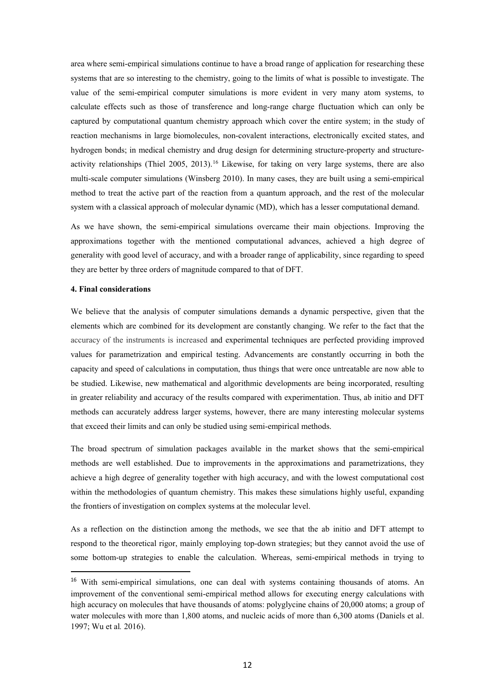area where semi-empirical simulations continue to have a broad range of application for researching these systems that are so interesting to the chemistry, going to the limits of what is possible to investigate. The value of the semi-empirical computer simulations is more evident in very many atom systems, to calculate effects such as those of transference and long-range charge fluctuation which can only be captured by computational quantum chemistry approach which cover the entire system; in the study of reaction mechanisms in large biomolecules, non-covalent interactions, electronically excited states, and hydrogen bonds; in medical chemistry and drug design for determining structure-property and structure-activity relationships (Thiel 2005, 2013).<sup>[16](#page-11-0)</sup> Likewise, for taking on very large systems, there are also multi-scale computer simulations (Winsberg 2010). In many cases, they are built using a semi-empirical method to treat the active part of the reaction from a quantum approach, and the rest of the molecular system with a classical approach of molecular dynamic (MD), which has a lesser computational demand.

As we have shown, the semi-empirical simulations overcame their main objections. Improving the approximations together with the mentioned computational advances, achieved a high degree of generality with good level of accuracy, and with a broader range of applicability, since regarding to speed they are better by three orders of magnitude compared to that of DFT.

# **4. Final considerations**

We believe that the analysis of computer simulations demands a dynamic perspective, given that the elements which are combined for its development are constantly changing. We refer to the fact that the accuracy of the instruments is increased and experimental techniques are perfected providing improved values for parametrization and empirical testing. Advancements are constantly occurring in both the capacity and speed of calculations in computation, thus things that were once untreatable are now able to be studied. Likewise, new mathematical and algorithmic developments are being incorporated, resulting in greater reliability and accuracy of the results compared with experimentation. Thus, ab initio and DFT methods can accurately address larger systems, however, there are many interesting molecular systems that exceed their limits and can only be studied using semi-empirical methods.

The broad spectrum of simulation packages available in the market shows that the semi-empirical methods are well established. Due to improvements in the approximations and parametrizations, they achieve a high degree of generality together with high accuracy, and with the lowest computational cost within the methodologies of quantum chemistry. This makes these simulations highly useful, expanding the frontiers of investigation on complex systems at the molecular level.

As a reflection on the distinction among the methods, we see that the ab initio and DFT attempt to respond to the theoretical rigor, mainly employing top-down strategies; but they cannot avoid the use of some bottom-up strategies to enable the calculation. Whereas, semi-empirical methods in trying to

<span id="page-11-0"></span><sup>&</sup>lt;sup>16</sup> With semi-empirical simulations, one can deal with systems containing thousands of atoms. An improvement of the conventional semi-empirical method allows for executing energy calculations with high accuracy on molecules that have thousands of atoms: polyglycine chains of 20,000 atoms; a group of water molecules with more than 1,800 atoms, and nucleic acids of more than 6,300 atoms (Daniels et al. 1997; Wu et al*.* 2016).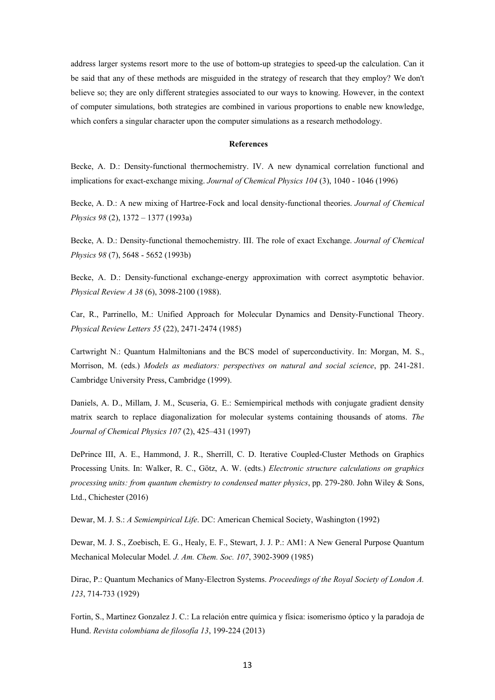address larger systems resort more to the use of bottom-up strategies to speed-up the calculation. Can it be said that any of these methods are misguided in the strategy of research that they employ? We don't believe so; they are only different strategies associated to our ways to knowing. However, in the context of computer simulations, both strategies are combined in various proportions to enable new knowledge, which confers a singular character upon the computer simulations as a research methodology.

### **References**

Becke, A. D.: Density-functional thermochemistry. IV. A new dynamical correlation functional and implications for exact-exchange mixing. *Journal of Chemical Physics 104* (3), 1040 - 1046 (1996)

Becke, A. D.: A new mixing of Hartree-Fock and local density-functional theories. *Journal of Chemical Physics 98* (2), 1372 – 1377 (1993a)

Becke, A. D.: Density-functional themochemistry. III. The role of exact Exchange. *Journal of Chemical Physics 98* (7), 5648 - 5652 (1993b)

Becke, A. D.: Density-functional exchange-energy approximation with correct asymptotic behavior. *Physical Review A 38* (6), 3098-2100 (1988).

Car, R., Parrinello, M.: Unified Approach for Molecular Dynamics and Density-Functional Theory. *Physical Review Letters 55* (22), 2471-2474 (1985)

Cartwright N.: Quantum Halmiltonians and the BCS model of superconductivity. In: Morgan, M. S., Morrison, M. (eds.) *Models as mediators: perspectives on natural and social science*, pp. 241-281. Cambridge University Press, Cambridge (1999).

Daniels, A. D., Millam, J. M., Scuseria, G. E.: Semiempirical methods with conjugate gradient density matrix search to replace diagonalization for molecular systems containing thousands of atoms. *The Journal of Chemical Physics 107* (2), 425–431 (1997)

DePrince III, A. E., Hammond, J. R., Sherrill, C. D. Iterative Coupled-Cluster Methods on Graphics Processing Units. In: Walker, R. C., Götz, A. W. (edts.) *Electronic structure calculations on graphics processing units: from quantum chemistry to condensed matter physics*, pp. 279-280. John Wiley & Sons, Ltd., Chichester (2016)

Dewar, M. J. S.: *A Semiempirical Life*. DC: American Chemical Society, Washington (1992)

Dewar, M. J. S., Zoebisch, E. G., Healy, E. F., Stewart, J. J. P.: AM1: A New General Purpose Quantum Mechanical Molecular Model*. J. Am. Chem. Soc. 107*, 3902-3909 (1985)

Dirac, P.: Quantum Mechanics of Many-Electron Systems. *Proceedings of the Royal Society of London A. 123*, 714-733 (1929)

Fortin, S., Martinez Gonzalez J. C.: La relación entre química y física: isomerismo óptico y la paradoja de Hund. *Revista colombiana de filosofía 13*, 199-224 (2013)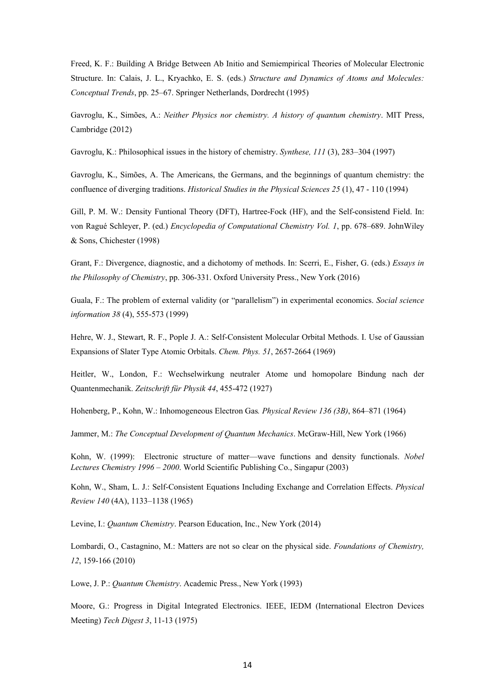Freed, K. F.: Building A Bridge Between Ab Initio and Semiempirical Theories of Molecular Electronic Structure. In: Calais, J. L., Kryachko, E. S. (eds.) *Structure and Dynamics of Atoms and Molecules: Conceptual Trends*, pp. 25–67. Springer Netherlands, Dordrecht (1995)

Gavroglu, K., Simões, A.: *Neither Physics nor chemistry. A history of quantum chemistry*. MIT Press, Cambridge (2012)

Gavroglu, K.: Philosophical issues in the history of chemistry. *Synthese, 111* (3), 283–304 (1997)

Gavroglu, K., Simões, A. The Americans, the Germans, and the beginnings of quantum chemistry: the confluence of diverging traditions. *Historical Studies in the Physical Sciences 25* (1), 47 - 110 (1994)

Gill, P. M. W.: Density Funtional Theory (DFT), Hartree-Fock (HF), and the Self-consistend Field. In: von Ragué Schleyer, P. (ed.) *Encyclopedia of Computational Chemistry Vol. 1*, pp. 678–689. JohnWiley & Sons, Chichester (1998)

Grant, F.: Divergence, diagnostic, and a dichotomy of methods. In: Scerri, E., Fisher, G. (eds.) *Essays in the Philosophy of Chemistry*, pp. 306-331. Oxford University Press., New York (2016)

Guala, F.: The problem of external validity (or "parallelism") in experimental economics. *Social science information 38* (4), 555-573 (1999)

Hehre, W. J., Stewart, R. F., Pople J. A.: Self-Consistent Molecular Orbital Methods. I. Use of Gaussian Expansions of Slater Type Atomic Orbitals. *Chem. Phys. 51*, 2657-2664 (1969)

Heitler, W., London, F.: Wechselwirkung neutraler Atome und homopolare Bindung nach der Quantenmechanik. *Zeitschrift für Physik 44*, 455-472 (1927)

Hohenberg, P., Kohn, W.: Inhomogeneous Electron Gas*. Physical Review 136 (3B)*, 864–871 (1964)

Jammer, M.: *The Conceptual Development of Quantum Mechanics*. McGraw-Hill, New York (1966)

Kohn, W. (1999): Electronic structure of matter—wave functions and density functionals. *Nobel Lectures Chemistry 1996* – *2000*. World Scientific Publishing Co., Singapur (2003)

Kohn, W., Sham, L. J.: Self-Consistent Equations Including Exchange and Correlation Effects. *Physical Review 140* (4A), 1133–1138 (1965)

Levine, I.: *Quantum Chemistry*. Pearson Education, Inc., New York (2014)

Lombardi, O., Castagnino, M.: Matters are not so clear on the physical side. *Foundations of Chemistry, 12*, 159-166 (2010)

Lowe, J. P.: *Quantum Chemistry*. Academic Press., New York (1993)

Moore, G.: Progress in Digital Integrated Electronics. IEEE, IEDM (International Electron Devices Meeting) *Tech Digest 3*, 11-13 (1975)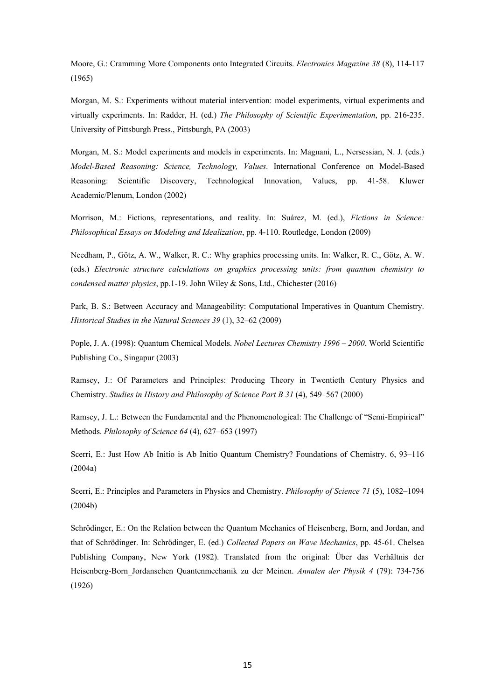Moore, G.: Cramming More Components onto Integrated Circuits. *Electronics Magazine 38* (8), 114-117 (1965)

Morgan, M. S.: Experiments without material intervention: model experiments, virtual experiments and virtually experiments. In: Radder, H. (ed.) *The Philosophy of Scientific Experimentation*, pp. 216-235. University of Pittsburgh Press., Pittsburgh, PA (2003)

Morgan, M. S.: Model experiments and models in experiments. In: Magnani, L., Nersessian, N. J. (eds.) *Model-Based Reasoning: Science, Technology, Values*. International Conference on Model-Based Reasoning: Scientific Discovery, Technological Innovation, Values, pp. 41-58. Kluwer Academic/Plenum, London (2002)

Morrison, M.: Fictions, representations, and reality. In: Suárez, M. (ed.), *Fictions in Science: Philosophical Essays on Modeling and Idealization*, pp. 4-110. Routledge, London (2009)

Needham, P., Götz, A. W., Walker, R. C.: Why graphics processing units. In: Walker, R. C., Götz, A. W. (eds.) *Electronic structure calculations on graphics processing units: from quantum chemistry to condensed matter physics*, pp.1-19. John Wiley & Sons, Ltd., Chichester (2016)

Park, B. S.: Between Accuracy and Manageability: Computational Imperatives in Quantum Chemistry. *Historical Studies in the Natural Sciences 39* (1), 32–62 (2009)

Pople, J. A. (1998): Quantum Chemical Models. *Nobel Lectures Chemistry 1996 – 2000*. World Scientific Publishing Co., Singapur (2003)

Ramsey, J.: Of Parameters and Principles: Producing Theory in Twentieth Century Physics and Chemistry. *Studies in History and Philosophy of Science Part B 31* (4), 549–567 (2000)

Ramsey, J. L.: Between the Fundamental and the Phenomenological: The Challenge of "Semi-Empirical" Methods. *Philosophy of Science 64* (4), 627–653 (1997)

Scerri, E.: Just How Ab Initio is Ab Initio Quantum Chemistry? Foundations of Chemistry. 6, 93–116 (2004a)

Scerri, E.: Principles and Parameters in Physics and Chemistry. *Philosophy of Science 71* (5), 1082–1094 (2004b)

Schrödinger, E.: On the Relation between the Quantum Mechanics of Heisenberg, Born, and Jordan, and that of Schrödinger. In: Schrödinger, E. (ed.) *Collected Papers on Wave Mechanics*, pp. 45-61. Chelsea Publishing Company, New York (1982). Translated from the original: Über das Verhältnis der Heisenberg-Born\_Jordanschen Quantenmechanik zu der Meinen. *Annalen der Physik 4* (79): 734-756 (1926)